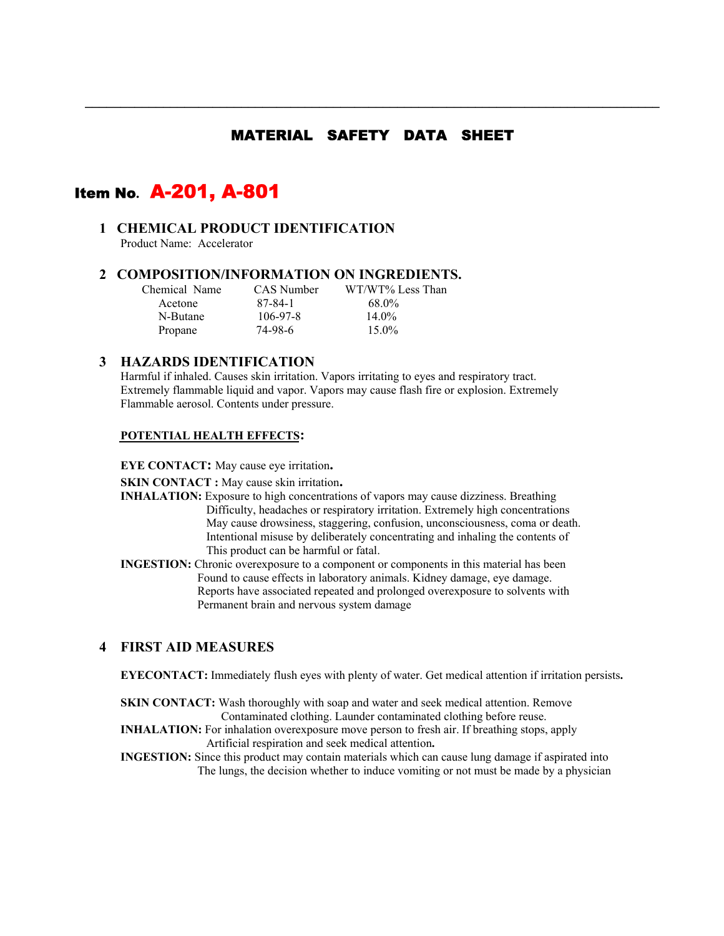# MATERIAL SAFETY DATA SHEET

**\_\_\_\_\_\_\_\_\_\_\_\_\_\_\_\_\_\_\_\_\_\_\_\_\_\_\_\_\_\_\_\_\_\_\_\_\_\_\_\_\_\_\_\_\_\_\_\_\_\_\_\_\_\_\_\_\_\_\_\_\_\_\_\_\_\_\_\_\_\_\_\_\_\_\_\_\_\_\_\_\_** 

# Item No**.** A-201, A-801

### **1 CHEMICAL PRODUCT IDENTIFICATION**

Product Name: Accelerator

#### **2 COMPOSITION/INFORMATION ON INGREDIENTS.**

| Chemical Name | CAS Number     | WT/WT% Less Than |
|---------------|----------------|------------------|
| Acetone       | 87-84-1        | 68.0%            |
| N-Butane      | $106 - 97 - 8$ | $14.0\%$         |
| Propane       | 74-98-6        | $15.0\%$         |

#### **3 HAZARDS IDENTIFICATION**

Harmful if inhaled. Causes skin irritation. Vapors irritating to eyes and respiratory tract. Extremely flammable liquid and vapor. Vapors may cause flash fire or explosion. Extremely Flammable aerosol. Contents under pressure.

#### **POTENTIAL HEALTH EFFECTS:**

**EYE CONTACT:** May cause eye irritation**.** 

- **SKIN CONTACT :** May cause skin irritation.<br>**INHALATION:** Exposure to high concentrations of vapors may cause dizziness. Breathing Difficulty, headaches or respiratory irritation. Extremely high concentrations May cause drowsiness, staggering, confusion, unconsciousness, coma or death. Intentional misuse by deliberately concentrating and inhaling the contents of This product can be harmful or fatal.
- **INGESTION:** Chronic overexposure to a component or components in this material has been Found to cause effects in laboratory animals. Kidney damage, eye damage. Reports have associated repeated and prolonged overexposure to solvents with Permanent brain and nervous system damage

### **4 FIRST AID MEASURES**

**EYECONTACT:** Immediately flush eyes with plenty of water. Get medical attention if irritation persists**.** 

- **SKIN CONTACT:** Wash thoroughly with soap and water and seek medical attention. Remove Contaminated clothing. Launder contaminated clothing before reuse.
- **INHALATION:** For inhalation overexposure move person to fresh air. If breathing stops, apply Artificial respiration and seek medical attention**.**
- **INGESTION:** Since this product may contain materials which can cause lung damage if aspirated into The lungs, the decision whether to induce vomiting or not must be made by a physician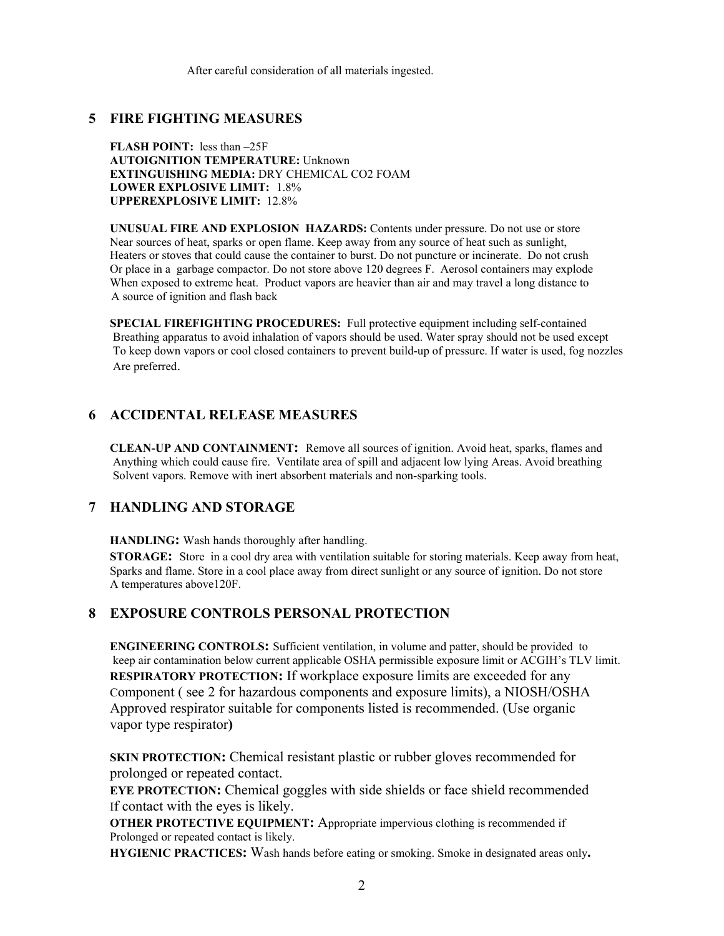After careful consideration of all materials ingested.

#### **5 FIRE FIGHTING MEASURES**

**FLASH POINT:** less than –25F **AUTOIGNITION TEMPERATURE:** Unknown **EXTINGUISHING MEDIA:** DRY CHEMICAL CO2 FOAM **LOWER EXPLOSIVE LIMIT:** 1.8% **UPPEREXPLOSIVE LIMIT:** 12.8%

**UNUSUAL FIRE AND EXPLOSION HAZARDS:** Contents under pressure. Do not use or store Near sources of heat, sparks or open flame. Keep away from any source of heat such as sunlight, Heaters or stoves that could cause the container to burst. Do not puncture or incinerate. Do not crush Or place in a garbage compactor. Do not store above 120 degrees F. Aerosol containers may explode When exposed to extreme heat. Product vapors are heavier than air and may travel a long distance to A source of ignition and flash back

**SPECIAL FIREFIGHTING PROCEDURES:** Full protective equipment including self-contained Breathing apparatus to avoid inhalation of vapors should be used. Water spray should not be used except To keep down vapors or cool closed containers to prevent build-up of pressure. If water is used, fog nozzles Are preferred.

#### **6 ACCIDENTAL RELEASE MEASURES**

**CLEAN-UP AND CONTAINMENT:** Remove all sources of ignition. Avoid heat, sparks, flames and Anything which could cause fire. Ventilate area of spill and adjacent low lying Areas. Avoid breathing Solvent vapors. Remove with inert absorbent materials and non-sparking tools.

#### **7 HANDLING AND STORAGE**

**HANDLING:** Wash hands thoroughly after handling.

**STORAGE:** Store in a cool dry area with ventilation suitable for storing materials. Keep away from heat, Sparks and flame. Store in a cool place away from direct sunlight or any source of ignition. Do not store A temperatures above120F.

# **8 EXPOSURE CONTROLS PERSONAL PROTECTION**

**ENGINEERING CONTROLS:** Sufficient ventilation, in volume and patter, should be provided to keep air contamination below current applicable OSHA permissible exposure limit or ACGIH's TLV limit. **RESPIRATORY PROTECTION:** If workplace exposure limits are exceeded for any Component ( see 2 for hazardous components and exposure limits), a NIOSH/OSHA Approved respirator suitable for components listed is recommended. (Use organic vapor type respirator**)** 

**SKIN PROTECTION:** Chemical resistant plastic or rubber gloves recommended for prolonged or repeated contact.

**EYE PROTECTION:** Chemical goggles with side shields or face shield recommended If contact with the eyes is likely.

**OTHER PROTECTIVE EQUIPMENT:** Appropriate impervious clothing is recommended if Prolonged or repeated contact is likely.

**HYGIENIC PRACTICES:** Wash hands before eating or smoking. Smoke in designated areas only**.**